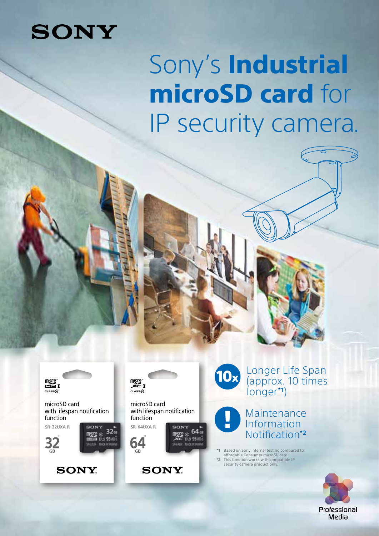# **SONY**

# Sony's Industrial microSD card for IP security camera.





microSD card with lifespan notification function SR-32UXA R



 $\frac{1}{1111}$  QC<sub>11</sub>

 $32<sub>0</sub>$ 





microSD card with lifespan notification function SR-64UXA R  $64$ 

## TUL 0518

**SONY.** 



Longer Life Span (approx. 10 times longer **\*1**)

#### Maintenance Information Notification**\*2**

**\*1** Based on Sony internal testing compared to affordable Consumer microSD card. **\*2** This function works with compatible IP security camera product only.